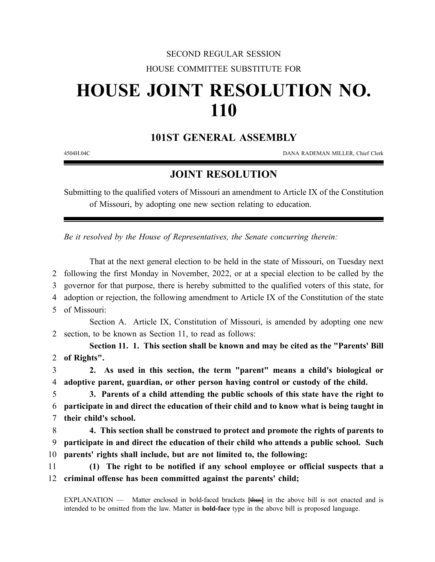## SECOND REGULAR SESSION HOUSE COMMITTEE SUBSTITUTE FOR

## **HOUSE JOINT RESOLUTION NO. 110**

## **101ST GENERAL ASSEMBLY**

4504H.04C DANA RADEMAN MILLER, Chief Clerk

## **JOINT RESOLUTION**

Submitting to the qualified voters of Missouri an amendment to Article IX of the Constitution of Missouri, by adopting one new section relating to education.

*Be it resolved by the House of Representatives, the Senate concurring therein:*

That at the next general election to be held in the state of Missouri, on Tuesday next following the first Monday in November, 2022, or at a special election to be called by the governor for that purpose, there is hereby submitted to the qualified voters of this state, for adoption or rejection, the following amendment to Article IX of the Constitution of the state of Missouri:

Section A. Article IX, Constitution of Missouri, is amended by adopting one new 2 section, to be known as Section 11, to read as follows:

**Section 11. 1. This section shall be known and may be cited as the "Parents' Bill** 2 **of Rights".**

3 **2. As used in this section, the term "parent" means a child's biological or** 4 **adoptive parent, guardian, or other person having control or custody of the child.**

5 **3. Parents of a child attending the public schools of this state have the right to** 6 **participate in and direct the education of their child and to know what is being taught in** 7 **their child's school.**

8 **4. This section shall be construed to protect and promote the rights of parents to** 9 **participate in and direct the education of their child who attends a public school. Such** 10 **parents' rights shall include, but are not limited to, the following:**

11 **(1) The right to be notified if any school employee or official suspects that a** 12 **criminal offense has been committed against the parents' child;**

EXPLANATION — Matter enclosed in bold-faced brackets **[**thus**]** in the above bill is not enacted and is intended to be omitted from the law. Matter in **bold-face** type in the above bill is proposed language.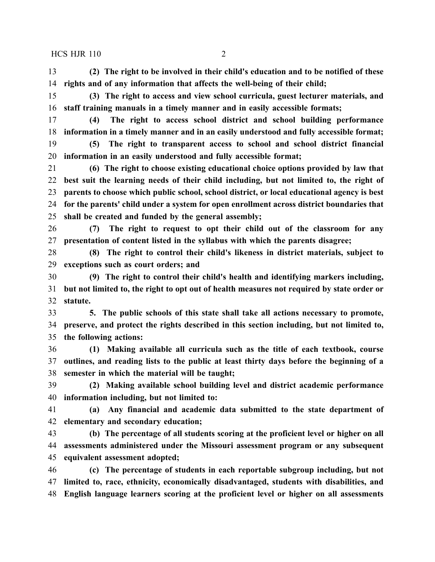**(2) The right to be involved in their child's education and to be notified of these rights and of any information that affects the well-being of their child;**

 **(3) The right to access and view school curricula, guest lecturer materials, and staff training manuals in a timely manner and in easily accessible formats;**

 **(4) The right to access school district and school building performance information in a timely manner and in an easily understood and fully accessible format;**

 **(5) The right to transparent access to school and school district financial information in an easily understood and fully accessible format;**

 **(6) The right to choose existing educational choice options provided by law that best suit the learning needs of their child including, but not limited to, the right of parents to choose which public school, school district, or local educational agency is best for the parents' child under a system for open enrollment across district boundaries that shall be created and funded by the general assembly;**

 **(7) The right to request to opt their child out of the classroom for any presentation of content listed in the syllabus with which the parents disagree;**

 **(8) The right to control their child's likeness in district materials, subject to exceptions such as court orders; and**

 **(9) The right to control their child's health and identifying markers including, but not limited to, the right to opt out of health measures not required by state order or statute.**

 **5. The public schools of this state shall take all actions necessary to promote, preserve, and protect the rights described in this section including, but not limited to, the following actions:**

 **(1) Making available all curricula such as the title of each textbook, course outlines, and reading lists to the public at least thirty days before the beginning of a semester in which the material will be taught;**

 **(2) Making available school building level and district academic performance information including, but not limited to:**

 **(a) Any financial and academic data submitted to the state department of elementary and secondary education;**

 **(b) The percentage of all students scoring at the proficient level or higher on all assessments administered under the Missouri assessment program or any subsequent equivalent assessment adopted;**

 **(c) The percentage of students in each reportable subgroup including, but not limited to, race, ethnicity, economically disadvantaged, students with disabilities, and English language learners scoring at the proficient level or higher on all assessments**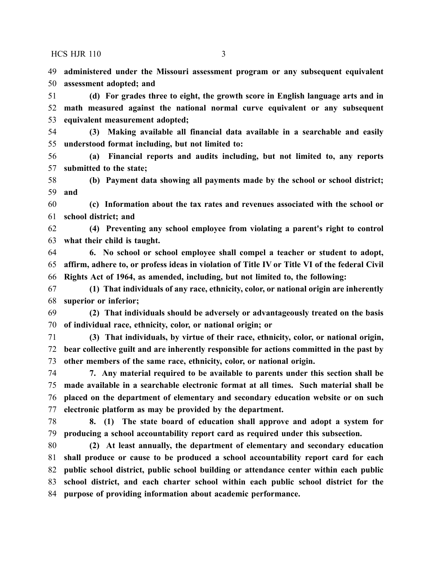**administered under the Missouri assessment program or any subsequent equivalent assessment adopted; and**

 **(d) For grades three to eight, the growth score in English language arts and in math measured against the national normal curve equivalent or any subsequent equivalent measurement adopted;**

 **(3) Making available all financial data available in a searchable and easily understood format including, but not limited to:**

 **(a) Financial reports and audits including, but not limited to, any reports submitted to the state;**

 **(b) Payment data showing all payments made by the school or school district; and**

 **(c) Information about the tax rates and revenues associated with the school or school district; and**

 **(4) Preventing any school employee from violating a parent's right to control what their child is taught.**

 **6. No school or school employee shall compel a teacher or student to adopt, affirm, adhere to, or profess ideas in violation of Title IV or Title VI of the federal Civil Rights Act of 1964, as amended, including, but not limited to, the following:**

 **(1) That individuals of any race, ethnicity, color, or national origin are inherently superior or inferior;**

 **(2) That individuals should be adversely or advantageously treated on the basis of individual race, ethnicity, color, or national origin; or**

 **(3) That individuals, by virtue of their race, ethnicity, color, or national origin, bear collective guilt and are inherently responsible for actions committed in the past by other members of the same race, ethnicity, color, or national origin.**

 **7. Any material required to be available to parents under this section shall be made available in a searchable electronic format at all times. Such material shall be placed on the department of elementary and secondary education website or on such electronic platform as may be provided by the department.**

 **8. (1) The state board of education shall approve and adopt a system for producing a school accountability report card as required under this subsection.**

 **(2) At least annually, the department of elementary and secondary education shall produce or cause to be produced a school accountability report card for each public school district, public school building or attendance center within each public school district, and each charter school within each public school district for the purpose of providing information about academic performance.**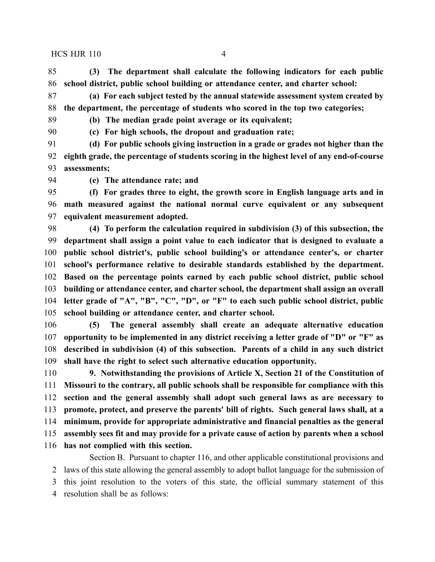**(3) The department shall calculate the following indicators for each public school district, public school building or attendance center, and charter school:**

 **(a) For each subject tested by the annual statewide assessment system created by the department, the percentage of students who scored in the top two categories;**

**(b) The median grade point average or its equivalent;**

**(c) For high schools, the dropout and graduation rate;**

 **(d) For public schools giving instruction in a grade or grades not higher than the eighth grade, the percentage of students scoring in the highest level of any end-of-course assessments;**

**(e) The attendance rate; and**

 **(f) For grades three to eight, the growth score in English language arts and in math measured against the national normal curve equivalent or any subsequent equivalent measurement adopted.**

 **(4) To perform the calculation required in subdivision (3) of this subsection, the department shall assign a point value to each indicator that is designed to evaluate a public school district's, public school building's or attendance center's, or charter school's performance relative to desirable standards established by the department. Based on the percentage points earned by each public school district, public school building or attendance center, and charter school, the department shall assign an overall letter grade of "A", "B", "C", "D", or "F" to each such public school district, public school building or attendance center, and charter school.**

 **(5) The general assembly shall create an adequate alternative education opportunity to be implemented in any district receiving a letter grade of "D" or "F" as described in subdivision (4) of this subsection. Parents of a child in any such district shall have the right to select such alternative education opportunity.**

 **9. Notwithstanding the provisions of Article X, Section 21 of the Constitution of Missouri to the contrary, all public schools shall be responsible for compliance with this section and the general assembly shall adopt such general laws as are necessary to promote, protect, and preserve the parents' bill of rights. Such general laws shall, at a minimum, provide for appropriate administrative and financial penalties as the general assembly sees fit and may provide for a private cause of action by parents when a school has not complied with this section.**

Section B. Pursuant to chapter 116, and other applicable constitutional provisions and laws of this state allowing the general assembly to adopt ballot language for the submission of this joint resolution to the voters of this state, the official summary statement of this resolution shall be as follows: